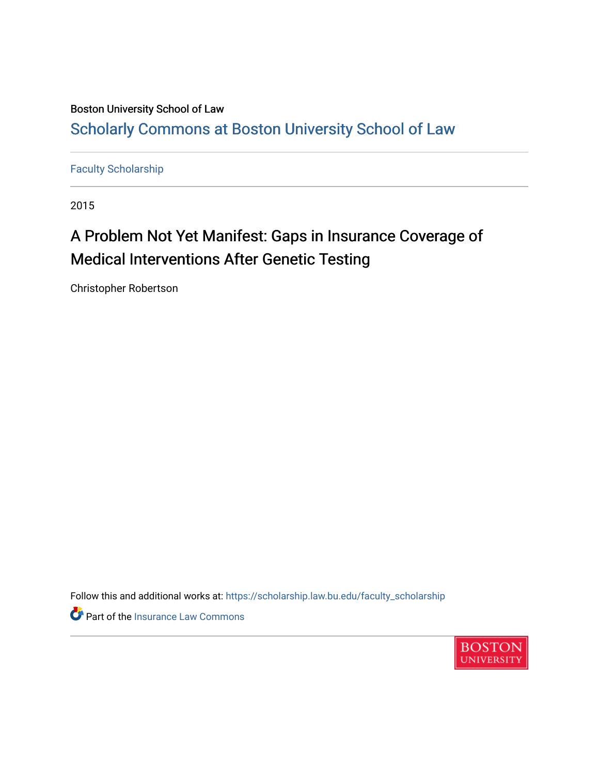### Boston University School of Law [Scholarly Commons at Boston University School of Law](https://scholarship.law.bu.edu/)

[Faculty Scholarship](https://scholarship.law.bu.edu/faculty_scholarship)

2015

## A Problem Not Yet Manifest: Gaps in Insurance Coverage of Medical Interventions After Genetic Testing

Christopher Robertson

Follow this and additional works at: [https://scholarship.law.bu.edu/faculty\\_scholarship](https://scholarship.law.bu.edu/faculty_scholarship?utm_source=scholarship.law.bu.edu%2Ffaculty_scholarship%2F1611&utm_medium=PDF&utm_campaign=PDFCoverPages)

Part of the [Insurance Law Commons](http://network.bepress.com/hgg/discipline/607?utm_source=scholarship.law.bu.edu%2Ffaculty_scholarship%2F1611&utm_medium=PDF&utm_campaign=PDFCoverPages)

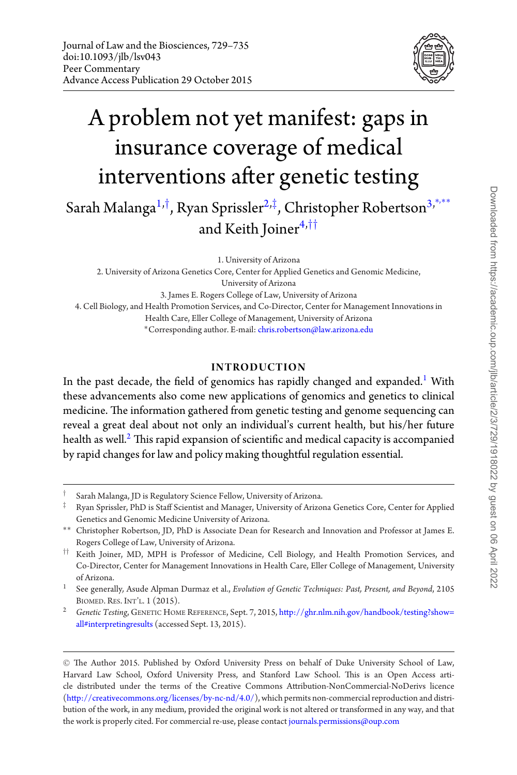

# A problem not yet manifest: gaps in insurance coverage of medical interventions after genetic testing

Sarah Malanga<sup>1,†</sup>, Ryan Sprissler<sup>2,‡</sup>, Christopher Robertson<sup>3,\*\*\*</sup> and Keith Joiner<sup>4,††</sup>

1. University of Arizona

2. University of Arizona Genetics Core, Center for Applied Genetics and Genomic Medicine, University of Arizona 3. James E. Rogers College of Law, University of Arizona 4. Cell Biology, and Health Promotion Services, and Co-Director, Center for Management Innovations in Health Care, Eller College of Management, University of Arizona ∗Corresponding author. E-mail: chris.robertson@law.arizona.edu

#### **INTRODUCTION**

In the past decade, the field of genomics has rapidly changed and expanded.<sup>1</sup> With these advancements also come new applications of genomics and genetics to clinical medicine. The information gathered from genetic testing and genome sequencing can reveal a great deal about not only an individual's current health, but his/her future health as well. $<sup>2</sup>$  This rapid expansion of scientific and medical capacity is accompanied</sup> by rapid changes for law and policy making thoughtful regulation essential.

Sarah Malanga, JD is Regulatory Science Fellow, University of Arizona.

<sup>‡</sup> Ryan Sprissler, PhD is Staff Scientist and Manager, University of Arizona Genetics Core, Center for Applied Genetics and Genomic Medicine University of Arizona.

<sup>∗∗</sup> Christopher Robertson, JD, PhD is Associate Dean for Research and Innovation and Professor at James E. Rogers College of Law, University of Arizona.

<sup>††</sup> Keith Joiner, MD, MPH is Professor of Medicine, Cell Biology, and Health Promotion Services, and Co-Director, Center for Management Innovations in Health Care, Eller College of Management, University of Arizona.

<sup>1</sup> See generally*,* Asude Alpman Durmaz et al., *Evolution of Genetic Techniques: Past, Present, and Beyond*, 2105 BIOMED. RES. INT'L. 1 (2015).

<sup>2</sup> *Genetic Testing*, GENETIC HOME REFERENCE, Sept. 7, 2015, http://ghr.nlm.nih.gov/handbook/testing?show= all#interpretingresults (accessed Sept. 13, 2015).

<sup>C</sup> The Author 2015. Published by Oxford University Press on behalf of Duke University School of Law, Harvard Law School, Oxford University Press, and Stanford Law School. This is an Open Access article distributed under the terms of the Creative Commons Attribution-NonCommercial-NoDerivs licence (http://creativecommons.org/licenses/by-nc-nd/4.0/), which permits non-commercial reproduction and distribution of the work, in any medium, provided the original work is not altered or transformed in any way, and that the work is properly cited. For commercial re-use, please contact journals.permissions@oup.com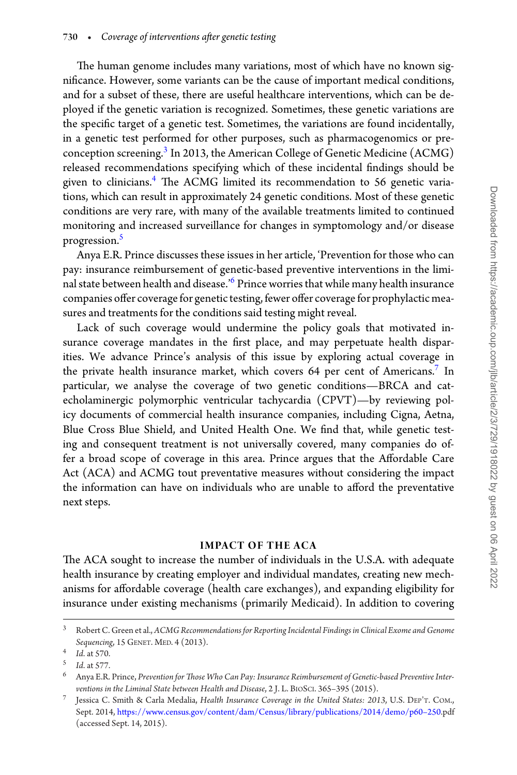The human genome includes many variations, most of which have no known significance. However, some variants can be the cause of important medical conditions, and for a subset of these, there are useful healthcare interventions, which can be deployed if the genetic variation is recognized. Sometimes, these genetic variations are the specific target of a genetic test. Sometimes, the variations are found incidentally, in a genetic test performed for other purposes, such as pharmacogenomics or preconception screening.<sup>3</sup> In 2013, the American College of Genetic Medicine (ACMG) released recommendations specifying which of these incidental findings should be given to clinicians.<sup>4</sup> The ACMG limited its recommendation to 56 genetic variations, which can result in approximately 24 genetic conditions. Most of these genetic conditions are very rare, with many of the available treatments limited to continued monitoring and increased surveillance for changes in symptomology and/or disease progression.<sup>5</sup>

Anya E.R. Prince discusses these issues in her article, 'Prevention for those who can pay: insurance reimbursement of genetic-based preventive interventions in the liminal state between health and disease.<sup>'6</sup> Prince worries that while many health insurance companies offer coverage for genetic testing, fewer offer coverage for prophylactic measures and treatments for the conditions said testing might reveal.

Lack of such coverage would undermine the policy goals that motivated insurance coverage mandates in the first place, and may perpetuate health disparities. We advance Prince's analysis of this issue by exploring actual coverage in the private health insurance market, which covers  $64$  per cent of Americans.<sup>7</sup> In particular, we analyse the coverage of two genetic conditions—BRCA and catecholaminergic polymorphic ventricular tachycardia (CPVT)—by reviewing policy documents of commercial health insurance companies, including Cigna, Aetna, Blue Cross Blue Shield, and United Health One. We find that, while genetic testing and consequent treatment is not universally covered, many companies do offer a broad scope of coverage in this area. Prince argues that the Affordable Care Act (ACA) and ACMG tout preventative measures without considering the impact the information can have on individuals who are unable to afford the preventative next steps.

#### **IMPACT OF THE ACA**

The ACA sought to increase the number of individuals in the U.S.A. with adequate health insurance by creating employer and individual mandates, creating new mechanisms for affordable coverage (health care exchanges), and expanding eligibility for insurance under existing mechanisms (primarily Medicaid). In addition to covering

<sup>3</sup> Robert C. Green et al., *ACMG Recommendations for Reporting Incidental Findings in Clinical Exome and Genome Sequencing*, 15 GENET. MED. 4 (2013).

<sup>4</sup> *Id*. at 570.

<sup>5</sup> *Id*. at 577.

<sup>6</sup> Anya E.R. Prince, *Prevention for Those Who Can Pay: Insurance Reimbursement of Genetic-based Preventive Interventions in the Liminal State between Health and Disease*, 2 J. L. BIOSCI. 365–395 (2015).

<sup>7</sup> Jessica C. Smith & Carla Medalia, *Health Insurance Coverage in the United States: 2013*, U.S. DEP'T. COM., Sept. 2014, https://www.census.gov/content/dam/Census/library/publications/2014/demo/p60–250.pdf (accessed Sept. 14, 2015).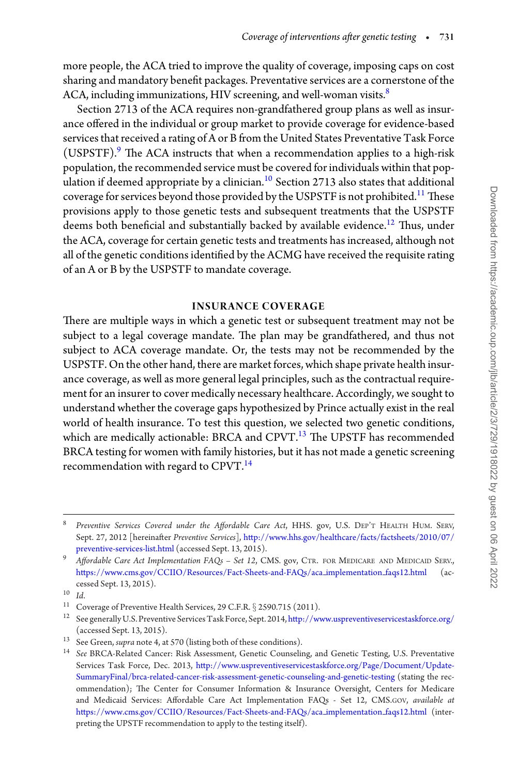more people, the ACA tried to improve the quality of coverage, imposing caps on cost sharing and mandatory benefit packages. Preventative services are a cornerstone of the ACA, including immunizations, HIV screening, and well-woman visits.<sup>8</sup>

Section 2713 of the ACA requires non-grandfathered group plans as well as insurance offered in the individual or group market to provide coverage for evidence-based services that received a rating of A or B from the United States Preventative Task Force (USPSTF). $9$  The ACA instructs that when a recommendation applies to a high-risk population, the recommended service must be covered for individuals within that population if deemed appropriate by a clinician.<sup>10</sup> Section 2713 also states that additional coverage for services beyond those provided by the USPSTF is not prohibited.<sup>11</sup> These provisions apply to those genetic tests and subsequent treatments that the USPSTF deems both beneficial and substantially backed by available evidence.<sup>12</sup> Thus, under the ACA, coverage for certain genetic tests and treatments has increased, although not all of the genetic conditions identified by the ACMG have received the requisite rating of an A or B by the USPSTF to mandate coverage.

#### **INSURANCE COVERAGE**

There are multiple ways in which a genetic test or subsequent treatment may not be subject to a legal coverage mandate. The plan may be grandfathered, and thus not subject to ACA coverage mandate. Or, the tests may not be recommended by the USPSTF. On the other hand, there are market forces, which shape private health insurance coverage, as well as more general legal principles, such as the contractual requirement for an insurer to cover medically necessary healthcare. Accordingly, we sought to understand whether the coverage gaps hypothesized by Prince actually exist in the real world of health insurance. To test this question, we selected two genetic conditions, which are medically actionable: BRCA and CPVT.<sup>13</sup> The UPSTF has recommended BRCA testing for women with family histories, but it has not made a genetic screening recommendation with regard to CPVT.<sup>14</sup>

<sup>8</sup> *Preventive Services Covered under the Affordable Care Act*, HHS. gov, U.S. DEP'T HEALTH HUM. SERV, Sept. 27, 2012 [hereinafter *Preventive Services*], http://www.hhs.gov/healthcare/facts/factsheets/2010/07/ preventive-services-list.html (accessed Sept. 13, 2015).

<sup>9</sup> *Affordable Care Act Implementation FAQs – Set 12*, CMS. gov, CTR. FOR MEDICARE AND MEDICAID SERV., https://www.cms.gov/CCIIO/Resources/Fact-Sheets-and-FAQs/aca implementation faqs12.html (accessed Sept. 13, 2015).

<sup>10&</sup>lt;br>10<br>11 Coverage of Preventive Health Services, 29 C.F.R. § 2590.715 (2011).

 $^{12}\;$  See generally U.S. Preventive Services Task Force, Sept. 2014, http://www.uspreventiveservicestaskforce.org/ (accessed Sept. 13, 2015).

<sup>13</sup> See Green, *supra* note 4, at 570 (listing both of these conditions).

<sup>14</sup> *See* BRCA-Related Cancer: Risk Assessment, Genetic Counseling, and Genetic Testing, U.S. Preventative Services Task Force, Dec. 2013, http://www.uspreventiveservicestaskforce.org/Page/Document/Update-SummaryFinal/brca-related-cancer-risk-assessment-genetic-counseling-and-genetic-testing (stating the recommendation); The Center for Consumer Information & Insurance Oversight, Centers for Medicare and Medicaid Services: Affordable Care Act Implementation FAQs - Set 12, CMS.GOV, *available at* https://www.cms.gov/CCIIO/Resources/Fact-Sheets-and-FAQs/aca implementation faqs12.html (interpreting the UPSTF recommendation to apply to the testing itself).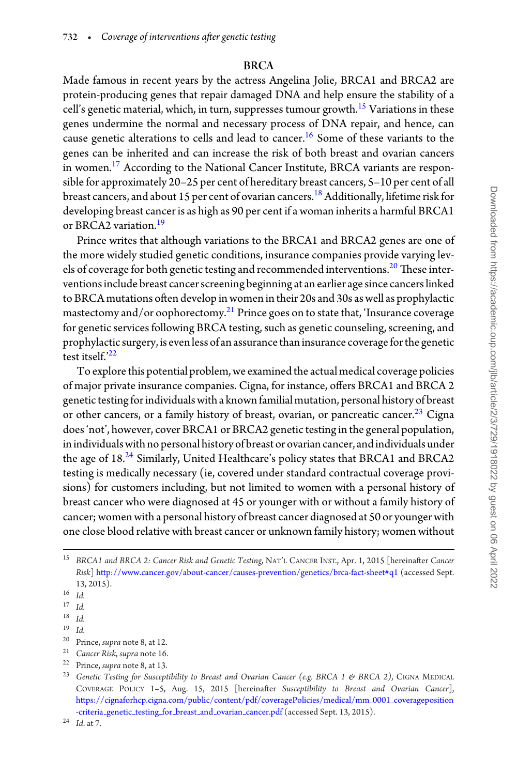#### **BRCA**

Made famous in recent years by the actress Angelina Jolie, BRCA1 and BRCA2 are protein-producing genes that repair damaged DNA and help ensure the stability of a cell's genetic material, which, in turn, suppresses tumour growth.<sup>15</sup> Variations in these genes undermine the normal and necessary process of DNA repair, and hence, can cause genetic alterations to cells and lead to cancer.<sup>16</sup> Some of these variants to the genes can be inherited and can increase the risk of both breast and ovarian cancers in women.<sup>17</sup> According to the National Cancer Institute, BRCA variants are responsible for approximately 20–25 per cent of hereditary breast cancers, 5–10 per cent of all breast cancers, and about 15 per cent of ovarian cancers.<sup>18</sup> Additionally, lifetime risk for developing breast cancer is as high as 90 per cent if a woman inherits a harmful BRCA1 or BRCA2 variation.<sup>19</sup>

Prince writes that although variations to the BRCA1 and BRCA2 genes are one of the more widely studied genetic conditions, insurance companies provide varying levels of coverage for both genetic testing and recommended interventions.<sup>20</sup> These interventions include breast cancer screening beginning at an earlier age since cancers linked to BRCA mutations often develop in women in their 20s and 30s as well as prophylactic mastectomy and/or oophorectomy.<sup>21</sup> Prince goes on to state that, 'Insurance coverage for genetic services following BRCA testing, such as genetic counseling, screening, and prophylactic surgery, is even less of an assurance than insurance coverage for the genetic test itself.'<sup>22</sup>

To explore this potential problem, we examined the actual medical coverage policies of major private insurance companies. Cigna, for instance, offers BRCA1 and BRCA 2 genetic testing for individuals with a known familial mutation, personal history of breast or other cancers, or a family history of breast, ovarian, or pancreatic cancer.<sup>23</sup> Cigna does 'not', however, cover BRCA1 or BRCA2 genetic testing in the general population, in individualswith no personal history of breast or ovarian cancer, and individuals under the age of 18.<sup>24</sup> Similarly, United Healthcare's policy states that BRCA1 and BRCA2 testing is medically necessary (ie, covered under standard contractual coverage provisions) for customers including, but not limited to women with a personal history of breast cancer who were diagnosed at 45 or younger with or without a family history of cancer; women with a personal history of breast cancer diagnosed at 50 or younger with one close blood relative with breast cancer or unknown family history; women without

- <sup>20</sup> Prince, *supra* note 8, at 12.
- <sup>21</sup> *Cancer Risk*, *supra* note 16.
- <sup>22</sup> Prince, *supra* note 8, at 13.

<sup>15</sup> *BRCA1 and BRCA 2: Cancer Risk and Genetic Testing,* NAT'L CANCER INST., Apr. 1, 2015 [hereinafter *Cancer Risk*] http://www.cancer.gov/about-cancer/causes-prevention/genetics/brca-fact-sheet#q1 (accessed Sept. 13, 2015).

 $\frac{16}{17}$  *Id.* 

 $\begin{array}{cc} 17 & Id. \\ 18 & 11 \end{array}$ 

 $\frac{18}{19}$  *Id.* 

 $\frac{19}{20}$  *Id.* 

<sup>&</sup>lt;sup>23</sup> Genetic Testing for Susceptibility to Breast and Ovarian Cancer (e.g. BRCA 1 & BRCA 2), CIGNA MEDICAL COVERAGE POLICY 1–5, Aug. 15, 2015 [hereinafter *Susceptibility to Breast and Ovarian Cancer*], https://cignaforhcp.cigna.com/public/content/pdf/coveragePolicies/medical/mm 0001 coverageposition -criteria\_genetic\_testing\_for\_breast\_and\_ovarian\_cancer.pdf (accessed Sept. 13, 2015).

<sup>24</sup> *Id*. at 7.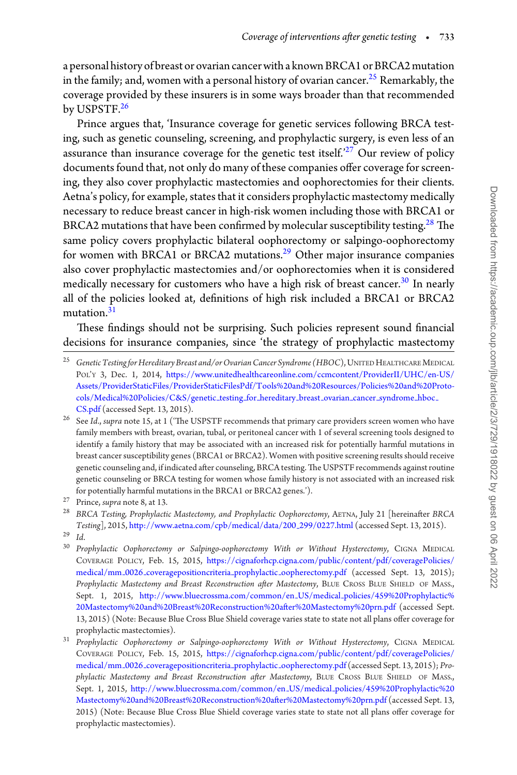a personal history of breast or ovarian cancer with a known BRCA1 or BRCA2 mutation in the family; and, women with a personal history of ovarian cancer.<sup>25</sup> Remarkably, the coverage provided by these insurers is in some ways broader than that recommended by USPSTF.<sup>26</sup>

Prince argues that, 'Insurance coverage for genetic services following BRCA testing, such as genetic counseling, screening, and prophylactic surgery, is even less of an assurance than insurance coverage for the genetic test itself.<sup> $27$ </sup> Our review of policy documents found that, not only do many of these companies offer coverage for screening, they also cover prophylactic mastectomies and oophorectomies for their clients. Aetna's policy, for example, states that it considers prophylactic mastectomy medically necessary to reduce breast cancer in high-risk women including those with BRCA1 or BRCA2 mutations that have been confirmed by molecular susceptibility testing.<sup>28</sup> The same policy covers prophylactic bilateral oophorectomy or salpingo-oophorectomy for women with BRCA1 or BRCA2 mutations.<sup>29</sup> Other major insurance companies also cover prophylactic mastectomies and/or oophorectomies when it is considered medically necessary for customers who have a high risk of breast cancer.<sup>30</sup> In nearly all of the policies looked at, definitions of high risk included a BRCA1 or BRCA2 mutation.<sup>31</sup>

These findings should not be surprising. Such policies represent sound financial decisions for insurance companies, since 'the strategy of prophylactic mastectomy

<sup>&</sup>lt;sup>25</sup> Genetic Testing for Hereditary Breast and/or Ovarian Cancer Syndrome (HBOC), UNITED HEALTHCARE MEDICAL POL'Y 3, Dec. 1, 2014, https://www.unitedhealthcareonline.com/ccmcontent/ProviderII/UHC/en-US/ Assets/ProviderStaticFiles/ProviderStaticFilesPdf/Tools%20and%20Resources/Policies%20and%20Protocols/Medical%20Policies/C&S/genetic testing for hereditary breast ovarian cancer syndrome hboc CS.pdf (accessed Sept. 13, 2015).

<sup>26</sup> See *Id*., *supra* note 15, at 1 ('The USPSTF recommends that primary care providers screen women who have family members with breast, ovarian, tubal, or peritoneal cancer with 1 of several screening tools designed to identify a family history that may be associated with an increased risk for potentially harmful mutations in breast cancer susceptibility genes (BRCA1 or BRCA2). Women with positive screening results should receive genetic counseling and, if indicated after counseling, BRCA testing.The USPSTF recommends against routine genetic counseling or BRCA testing for women whose family history is not associated with an increased risk for potentially harmful mutations in the BRCA1 or BRCA2 genes.').

<sup>27</sup> Prince, *supra* note 8, at 13.

<sup>28</sup> *BRCA Testing, Prophylactic Mastectomy, and Prophylactic Oophorectomy*, AETNA, July 21 [hereinafter *BRCA Testing*], 2015, http://www.aetna.com/cpb/medical/data/200 299/0227.html (accessed Sept. 13, 2015).

 $\frac{29}{30}$  *Id.* 

<sup>30</sup> *Prophylactic Oophorectomy or Salpingo-oophorectomy With or Without Hysterectomy*, CIGNA MEDICAL COVERAGE POLICY, Feb. 15, 2015, https://cignaforhcp.cigna.com/public/content/pdf/coveragePolicies/ medical/mm 0026 coveragepositioncriteria prophylactic oopherectomy.pdf (accessed Sept. 13, 2015); *Prophylactic Mastectomy and Breast Reconstruction after Mastectomy*, BLUE CROSS BLUE SHIELD OF MASS., Sept. 1, 2015, http://www.bluecrossma.com/common/en US/medical policies/459%20Prophylactic% 20Mastectomy%20and%20Breast%20Reconstruction%20after%20Mastectomy%20prn.pdf (accessed Sept. 13, 2015) (Note: Because Blue Cross Blue Shield coverage varies state to state not all plans offer coverage for prophylactic mastectomies).

<sup>31</sup> *Prophylactic Oophorectomy or Salpingo-oophorectomy With or Without Hysterectomy*, CIGNA MEDICAL COVERAGE POLICY, Feb. 15, 2015, https://cignaforhcp.cigna.com/public/content/pdf/coveragePolicies/ medical/mm 0026 coveragepositioncriteria prophylactic oopherectomy.pdf (accessed Sept. 13, 2015); *Prophylactic Mastectomy and Breast Reconstruction after Mastectomy*, BLUE CROSS BLUE SHIELD OF MASS., Sept. 1, 2015, http://www.bluecrossma.com/common/en US/medical policies/459%20Prophylactic%20 Mastectomy%20and%20Breast%20Reconstruction%20after%20Mastectomy%20prn.pdf (accessed Sept. 13, 2015) (Note: Because Blue Cross Blue Shield coverage varies state to state not all plans offer coverage for prophylactic mastectomies).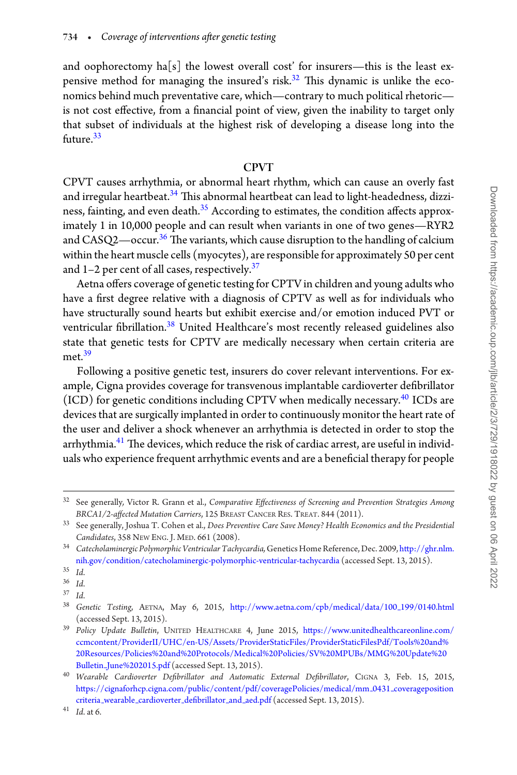and oophorectomy ha<sup>[s]</sup> the lowest overall cost' for insurers—this is the least expensive method for managing the insured's risk.<sup>32</sup> This dynamic is unlike the economics behind much preventative care, which—contrary to much political rhetoric is not cost effective, from a financial point of view, given the inability to target only that subset of individuals at the highest risk of developing a disease long into the future<sup>33</sup>

#### **CPVT**

CPVT causes arrhythmia, or abnormal heart rhythm, which can cause an overly fast and irregular heartbeat.<sup>34</sup> This abnormal heartbeat can lead to light-headedness, dizziness, fainting, and even death. $35$  According to estimates, the condition affects approximately 1 in 10,000 people and can result when variants in one of two genes—RYR2 and  $CASQ2$ —occur.<sup>36</sup> The variants, which cause disruption to the handling of calcium within the heart muscle cells (myocytes), are responsible for approximately 50 per cent and  $1-2$  per cent of all cases, respectively.<sup>37</sup>

Aetna offers coverage of genetic testing for CPTV in children and young adults who have a first degree relative with a diagnosis of CPTV as well as for individuals who have structurally sound hearts but exhibit exercise and/or emotion induced PVT or ventricular fibrillation.<sup>38</sup> United Healthcare's most recently released guidelines also state that genetic tests for CPTV are medically necessary when certain criteria are met $39$ 

Following a positive genetic test, insurers do cover relevant interventions. For example, Cigna provides coverage for transvenous implantable cardioverter defibrillator (ICD) for genetic conditions including CPTV when medically necessary.<sup>40</sup> ICDs are devices that are surgically implanted in order to continuously monitor the heart rate of the user and deliver a shock whenever an arrhythmia is detected in order to stop the arrhythmia.<sup>41</sup> The devices, which reduce the risk of cardiac arrest, are useful in individuals who experience frequent arrhythmic events and are a beneficial therapy for people

<sup>32</sup> See generally*,* Victor R. Grann et al., *Comparative Effectiveness of Screening and Prevention Strategies Among BRCA1/2-affected Mutation Carriers*, 125 BREAST CANCER RES. TREAT. 844 (2011).

<sup>33</sup> See generally, Joshua T. Cohen et al., *Does Preventive Care Save Money? Health Economics and the Presidential Candidates*, 358 NEW ENG. J. MED. 661 (2008).

<sup>34</sup> *Catecholaminergic Polymorphic Ventricular Tachycardia,*Genetics Home Reference, Dec. 2009, http://ghr.nlm. nih.gov/condition/catecholaminergic-polymorphic-ventricular-tachycardia (accessed Sept. 13, 2015).

<sup>35</sup> *Id*.

 $\frac{36}{37}$  *Id.* 

<sup>37</sup> *Id*.

<sup>38</sup> *Genetic Testing*, AETNA, May 6, 2015, http://www.aetna.com/cpb/medical/data/100 199/0140.html (accessed Sept. 13, 2015).

<sup>39</sup> *Policy Update Bulletin*, UNITED HEALTHCARE 4, June 2015, https://www.unitedhealthcareonline.com/ ccmcontent/ProviderII/UHC/en-US/Assets/ProviderStaticFiles/ProviderStaticFilesPdf/Tools%20and% 20Resources/Policies%20and%20Protocols/Medical%20Policies/SV%20MPUBs/MMG%20Update%20 Bulletin June%202015.pdf (accessed Sept. 13, 2015).

<sup>40</sup> *Wearable Cardioverter Defibrillator and Automatic External Defibrillator*, CIGNA 3, Feb. 15, 2015, https://cignaforhcp.cigna.com/public/content/pdf/coveragePolicies/medical/mm 0431 coverageposition criteria wearable cardioverter defibrillator and aed.pdf (accessed Sept. 13, 2015).

<sup>41</sup> *Id*. at 6.